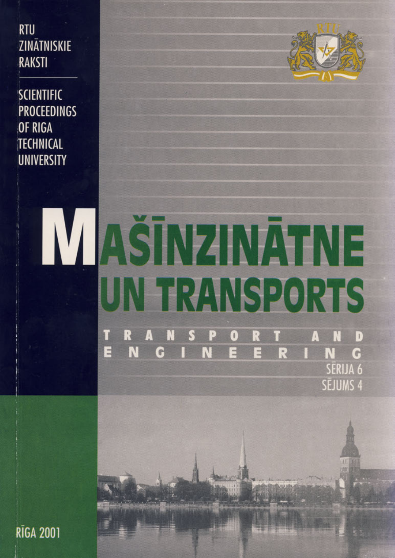**RTU** ZINĀTNISKIE **RAKSTI** 

**SCIENTIFIC PROCEEDINGS OF RIGA TECHNICAL UNIVERSITY** 



# AŠĪNZINĀTNE UN TRANSPORTS 0 R D Д Π N E N  $113$ G R N G SĒRIJA 6

SĒJUMS 4

**RĪGA 2001**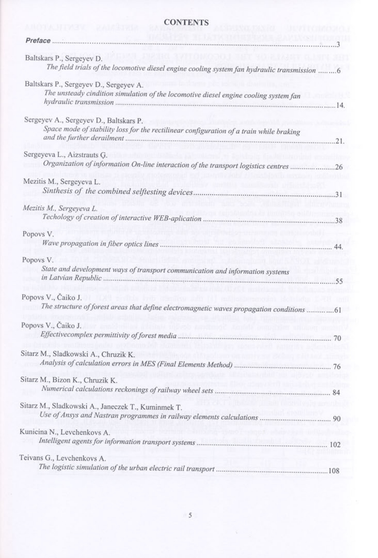## **CONTENTS**

| Baltskars P., Sergeyev D.                                                                            |     |
|------------------------------------------------------------------------------------------------------|-----|
| The field trials of the locomotive diesel engine cooling system fan hydraulic transmission 6         |     |
| Baltskars P., Sergeyev D., Sergeyev A.                                                               |     |
| The unsteady cindition simulation of the locomotive diesel engine cooling system fan                 |     |
|                                                                                                      |     |
| Sergeyev A., Sergeyev D., Baltskars P.                                                               |     |
| Space mode of stability loss for the rectilinear configuration of a train while braking              |     |
|                                                                                                      | 21. |
| Sergeyeva L., Aizstrauts G.                                                                          |     |
| Organization of information On-line interaction of the transport logistics centres 26                |     |
| Mezitis M., Sergeyeva L.                                                                             |     |
|                                                                                                      |     |
|                                                                                                      |     |
| Mezitis M., Sergeyeva L.                                                                             |     |
|                                                                                                      |     |
| Popovs V.                                                                                            |     |
|                                                                                                      |     |
| Popovs V.                                                                                            |     |
| State and development ways of transport communication and information systems                        |     |
|                                                                                                      |     |
| Popovs V., Čaiko J.                                                                                  |     |
| The structure of forest areas that define electromagnetic waves propagation conditions 61            |     |
|                                                                                                      |     |
| Popovs V., Čaiko J.<br>Aveimia inc                                                                   |     |
|                                                                                                      |     |
| Sitarz M., Sladkowski A., Chruzik K.<br>senge el francourant mairy au 1963 av                        |     |
|                                                                                                      |     |
| Sitarz M., Bizon K., Chruzik K.                                                                      |     |
|                                                                                                      |     |
|                                                                                                      |     |
| THE NEW REAL PROPERTY IN THE WAS CONTRACTED TO<br>Sitarz M., Sladkowski A., Janeczek T., Kuminmek T. |     |
|                                                                                                      |     |
| Kunicina N., Levchenkovs A.                                                                          |     |
|                                                                                                      |     |
|                                                                                                      |     |
| Teivans G., Levchenkovs A.                                                                           |     |
|                                                                                                      |     |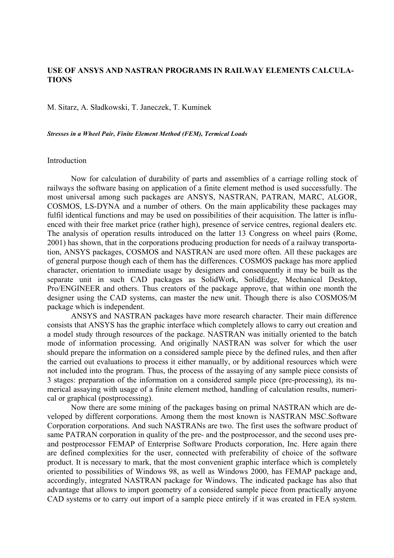## **USE OF ANSYS AND NASTRAN PROGRAMS IN RAILWAY ELEMENTS CALCULA-TIONS**

M. Sitarz, A. Sładkowski, T. Janeczek, T. Kuminek

*Stresses in a Wheel Pair, Finite Element Method (FEM), Termical Loads*

#### Introduction

 Now for calculation of durability of parts and assemblies of a carriage rolling stock of railways the software basing on application of a finite element method is used successfully. The most universal among such packages are ANSYS, NASTRAN, PATRAN, MARC, ALGOR, COSMOS, LS-DYNA and a number of others. On the main applicability these packages may fulfil identical functions and may be used on possibilities of their acquisition. The latter is influenced with their free market price (rather high), presence of service centres, regional dealers etc. The analysis of operation results introduced on the latter 13 Congress on wheel pairs (Rome, 2001) has shown, that in the corporations producing production for needs of a railway transportation, ANSYS packages, COSMOS and NASTRAN are used more often. All these packages are of general purpose though each of them has the differences. COSMOS package has more applied character, orientation to immediate usage by designers and consequently it may be built as the separate unit in such CAD packages as SolidWork, SolidEdge, Mechanical Desktop, Pro/ENGINEER and others. Thus creators of the package approve, that within one month the designer using the CAD systems, can master the new unit. Though there is also COSMOS/M package which is independent.

 ANSYS and NASTRAN packages have more research character. Their main difference consists that ANSYS has the graphic interface which completely allows to carry out creation and a model study through resources of the package. NASTRAN was initially oriented to the batch mode of information processing. And originally NASTRAN was solver for which the user should prepare the information on a considered sample piece by the defined rules, and then after the carried out evaluations to process it either manually, or by additional resources which were not included into the program. Thus, the process of the assaying of any sample piece consists of 3 stages: preparation of the information on a considered sample piece (pre-processing), its numerical assaying with usage of a finite element method, handling of calculation results, numerical or graphical (postprocessing).

 Now there are some mining of the packages basing on primal NASTRAN which are developed by different corporations. Among them the most known is NASTRAN MSC.Software Corporation corporations. And such NASTRANs are two. The first uses the software product of same PATRAN corporation in quality of the pre- and the postprocessor, and the second uses preand postprocessor FEMAP of Enterprise Software Products corporation, Inc. Here again there are defined complexities for the user, connected with preferability of choice of the software product. It is necessary to mark, that the most convenient graphic interface which is completely oriented to possibilities of Windows 98, as well as Windows 2000, has FEMAP package and, accordingly, integrated NASTRAN package for Windows. The indicated package has also that advantage that allows to import geometry of a considered sample piece from practically anyone CAD systems or to carry out import of a sample piece entirely if it was created in FEA system.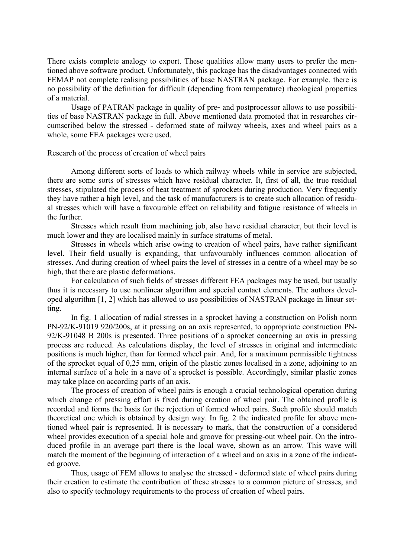There exists complete analogy to export. These qualities allow many users to prefer the mentioned above software product. Unfortunately, this package has the disadvantages connected with FEMAP not complete realising possibilities of base NASTRAN package. For example, there is no possibility of the definition for difficult (depending from temperature) rheological properties of a material.

 Usage of PATRAN package in quality of pre- and postprocessor allows to use possibilities of base NASTRAN package in full. Above mentioned data promoted that in researches circumscribed below the stressed - deformed state of railway wheels, axes and wheel pairs as a whole, some FEA packages were used.

Research of the process of creation of wheel pairs

 Among different sorts of loads to which railway wheels while in service are subjected, there are some sorts of stresses which have residual character. It, first of all, the true residual stresses, stipulated the process of heat treatment of sprockets during production. Very frequently they have rather a high level, and the task of manufacturers is to create such allocation of residual stresses which will have a favourable effect on reliability and fatigue resistance of wheels in the further.

 Stresses which result from machining job, also have residual character, but their level is much lower and they are localised mainly in surface stratums of metal.

 Stresses in wheels which arise owing to creation of wheel pairs, have rather significant level. Their field usually is expanding, that unfavourably influences common allocation of stresses. And during creation of wheel pairs the level of stresses in a centre of a wheel may be so high, that there are plastic deformations.

 For calculation of such fields of stresses different FEA packages may be used, but usually thus it is necessary to use nonlinear algorithm and special contact elements. The authors developed algorithm [1, 2] which has allowed to use possibilities of NASTRAN package in linear setting.

 In fig. 1 allocation of radial stresses in a sprocket having a construction on Polish norm PN-92/K-91019 920/200s, at it pressing on an axis represented, to appropriate construction PN-92/K-91048 B 200s is presented. Three positions of a sprocket concerning an axis in pressing process are reduced. As calculations display, the level of stresses in original and intermediate positions is much higher, than for formed wheel pair. And, for a maximum permissible tightness of the sprocket equal of 0,25 mm, origin of the plastic zones localised in a zone, adjoining to an internal surface of a hole in a nave of a sprocket is possible. Accordingly, similar plastic zones may take place on according parts of an axis.

 The process of creation of wheel pairs is enough a crucial technological operation during which change of pressing effort is fixed during creation of wheel pair. The obtained profile is recorded and forms the basis for the rejection of formed wheel pairs. Such profile should match theoretical one which is obtained by design way. In fig. 2 the indicated profile for above mentioned wheel pair is represented. It is necessary to mark, that the construction of a considered wheel provides execution of a special hole and groove for pressing-out wheel pair. On the introduced profile in an average part there is the local wave, shown as an arrow. This wave will match the moment of the beginning of interaction of a wheel and an axis in a zone of the indicated groove.

Thus, usage of FEM allows to analyse the stressed - deformed state of wheel pairs during their creation to estimate the contribution of these stresses to a common picture of stresses, and also to specify technology requirements to the process of creation of wheel pairs.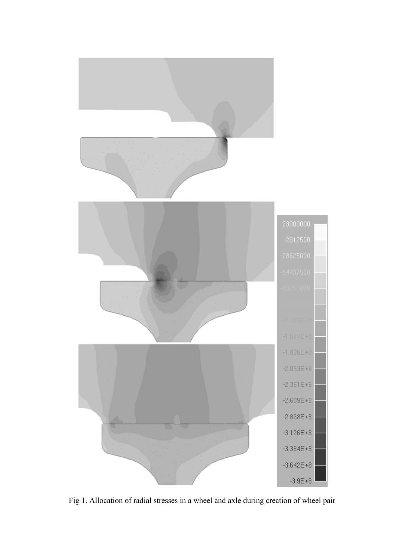

Fig 1. Allocation of radial stresses in a wheel and axle during creation of wheel pair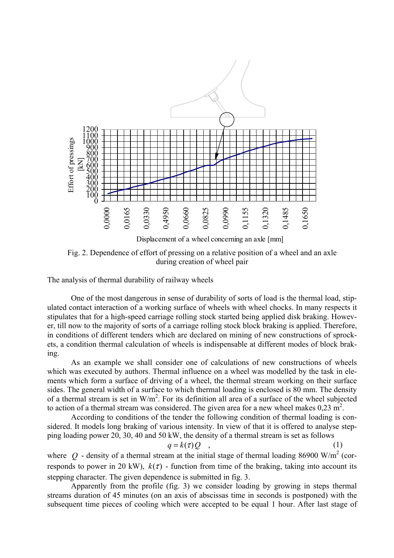

Fig. 2. Dependence of effort of pressing on a relative position of a wheel and an axle during creation of wheel pair

The analysis of thermal durability of railway wheels

 One of the most dangerous in sense of durability of sorts of load is the thermal load, stipulated contact interaction of a working surface of wheels with wheel chocks. In many respects it stipulates that for a high-speed carriage rolling stock started being applied disk braking. However, till now to the majority of sorts of a carriage rolling stock block braking is applied. Therefore, in conditions of different tenders which are declared on mining of new constructions of sprockets, a condition thermal calculation of wheels is indispensable at different modes of block braking.

 As an example we shall consider one of calculations of new constructions of wheels which was executed by authors. Thermal influence on a wheel was modelled by the task in elements which form a surface of driving of a wheel, the thermal stream working on their surface sides. The general width of a surface to which thermal loading is enclosed is 80 mm. The density of a thermal stream is set in  $W/m^2$ . For its definition all area of a surface of the wheel subjected to action of a thermal stream was considered. The given area for a new wheel makes  $0.23 \text{ m}^2$ .

According to conditions of the tender the following condition of thermal loading is considered. It models long braking of various intensity. In view of that it is offered to analyse stepping loading power 20, 30, 40 and 50 kW, the density of a thermal stream is set as follows

$$
q = k(\tau)Q \quad , \tag{1}
$$

where  $Q$  - density of a thermal stream at the initial stage of thermal loading 86900 W/m<sup>2</sup> (corresponds to power in 20 kW),  $k(\tau)$  - function from time of the braking, taking into account its stepping character. The given dependence is submitted in fig. 3.

 Apparently from the profile (fig. 3) we consider loading by growing in steps thermal streams duration of 45 minutes (on an axis of abscissas time in seconds is postponed) with the subsequent time pieces of cooling which were accepted to be equal 1 hour. After last stage of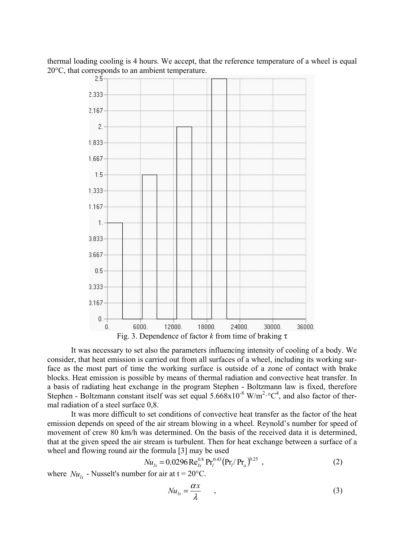

thermal loading cooling is 4 hours. We accept, that the reference temperature of a wheel is equal 20 $^{\circ}$ C, that corresponds to an ambient temperature.

 It was necessary to set also the parameters influencing intensity of cooling of a body. We consider, that heat emission is carried out from all surfaces of a wheel, including its working surface as the most part of time the working surface is outside of a zone of contact with brake blocks. Heat emission is possible by means of thermal radiation and convective heat transfer. In a basis of radiating heat exchange in the program Stephen - Boltzmann law is fixed, therefore Stephen - Boltzmann constant itself was set equal  $5.668 \times 10^{-8}$  W/m<sup>2</sup>· $\degree$ C<sup>4</sup>, and also factor of thermal radiation of a steel surface 0,8.

 It was more difficult to set conditions of convective heat transfer as the factor of the heat emission depends on speed of the air stream blowing in a wheel. Reynold's number for speed of movement of crew 80 km/h was determined. On the basis of the received data it is determined, that at the given speed the air stream is turbulent. Then for heat exchange between a surface of a wheel and flowing round air the formula [3] may be used

$$
Nu_{lx} = 0.0296 \,\text{Re}_{lx}^{0.8} \,\text{Pr}_{l}^{0.43} \big(\text{Pr}_{l}/\text{Pr}_{a}\big)^{0.25} \tag{2}
$$

where  $Nu_{k}$  - Nusselt's number for air at  $t = 20^{\circ}$ C.

$$
Nu_{lx} = \frac{\alpha x}{\lambda} \tag{3}
$$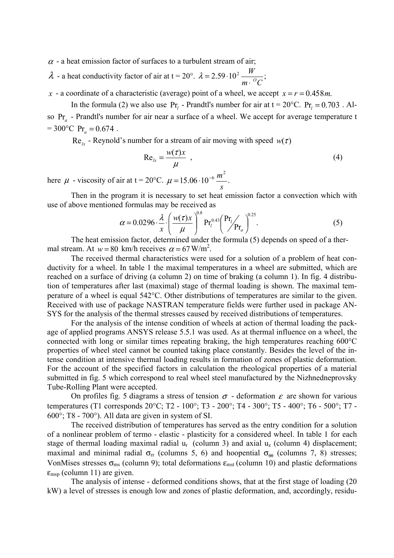$\alpha$  - a heat emission factor of surfaces to a turbulent stream of air;

 $\lambda$  - a heat conductivity factor of air at t = 20°.  $\lambda = 2.59 \cdot 10^2 \frac{W}{m \cdot {}^oC}$ ;

*x* - a coordinate of a characteristic (average) point of a wheel, we accept  $x = r = 0.458$ *m*.

In the formula (2) we also use  $Pr_l$  - Prandtl's number for air at  $t = 20^{\circ}C$ .  $Pr_l = 0.703$ . Also Pr*a* - Prandtl's number for air near a surface of a wheel. We accept for average temperature t  $= 300^{\circ}$ C Pr<sub>a</sub>  $= 0.674$ .

 $Re<sub>k</sub>$  - Reynold's number for a stream of air moving with speed  $w(\tau)$ 

$$
Re_{lx} = \frac{w(\tau)x}{\mu} \tag{4}
$$

here  $\mu$  - viscosity of air at t = 20°C. *s*  $\mu = 15.06 \cdot 10^{-6} \frac{m^2}{m}$ .

 Then in the program it is necessary to set heat emission factor a convection which with use of above mentioned formulas may be received as

$$
\alpha = 0.0296 \cdot \frac{\lambda}{x} \cdot \left(\frac{w(\tau)x}{\mu}\right)^{0.8} \Pr_l^{0.43} \left(\frac{\Pr_l}{\Pr_a}\right)^{0.25}.
$$
 (5)

 The heat emission factor, determined under the formula (5) depends on speed of a thermal stream. At  $w = 80$  km/h receives  $\alpha = 67$  W/m<sup>2</sup>.

 The received thermal characteristics were used for a solution of a problem of heat conductivity for a wheel. In table 1 the maximal temperatures in a wheel are submitted, which are reached on a surface of driving (a column 2) on time of braking (a column 1). In fig. 4 distribution of temperatures after last (maximal) stage of thermal loading is shown. The maximal temperature of a wheel is equal 542°С. Other distributions of temperatures are similar to the given. Received with use of package NASTRAN temperature fields were further used in package AN-SYS for the analysis of the thermal stresses caused by received distributions of temperatures.

For the analysis of the intense condition of wheels at action of thermal loading the package of applied programs ANSYS release 5.5.1 was used. As at thermal influence on a wheel, the connected with long or similar times repeating braking, the high temperatures reaching 600°C properties of wheel steel cannot be counted taking place constantly. Besides the level of the intense condition at intensive thermal loading results in formation of zones of plastic deformation. For the account of the specified factors in calculation the rheological properties of a material submitted in fig. 5 which correspond to real wheel steel manufactured by the Nizhnedneprovsky Tube-Rolling Plant were accepted.

On profiles fig. 5 diagrams a stress of tension  $\sigma$  - deformation  $\varepsilon$  are shown for various temperatures (T1 corresponds 20°С; Т2 - 100°; Т3 - 200°; Т4 - 300°; Т5 - 400°; Т6 - 500°; Т7 -600°; Т8 - 700°). All data are given in system of SI.

 The received distribution of temperatures has served as the entry condition for a solution of a nonlinear problem of termo - elastic - plasticity for a considered wheel. In table 1 for each stage of thermal loading maximal radial  $u_r$  (column 3) and axial  $u_z$  (column 4) displacement; maximal and minimal radial  $\sigma_{rr}$  (columns 5, 6) and hoopential  $\sigma_{\theta\theta}$  (columns 7, 8) stresses; VonMises stresses  $\sigma_{\text{ms}}$  (column 9); total deformations  $\varepsilon_{\text{ms}}$  (column 10) and plastic deformations  $\varepsilon_{\rm msp}$  (column 11) are given.

 The analysis of intense - deformed conditions shows, that at the first stage of loading (20 kW) a level of stresses is enough low and zones of plastic deformation, and, accordingly, residu-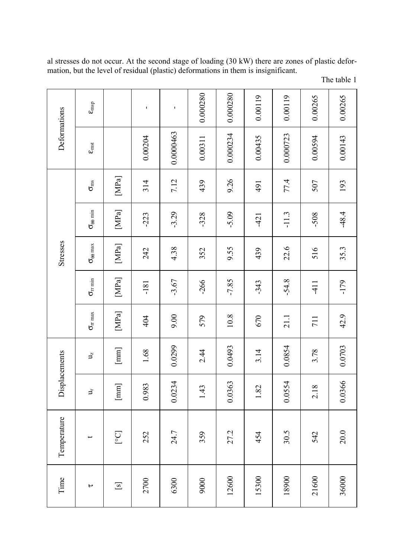| Deformations  | $\epsilon_{\rm{msp}}$                                   |                                                                                                                                                                                                                                                                                                                                                                                                                                                                                                                                                                                                                                                                                                                                                               | 1       | $\mathbf I$ | 0.000280 | 0.000280 | 0.00119 | 0.00119  | 0.00265 | 0.00265 |
|---------------|---------------------------------------------------------|---------------------------------------------------------------------------------------------------------------------------------------------------------------------------------------------------------------------------------------------------------------------------------------------------------------------------------------------------------------------------------------------------------------------------------------------------------------------------------------------------------------------------------------------------------------------------------------------------------------------------------------------------------------------------------------------------------------------------------------------------------------|---------|-------------|----------|----------|---------|----------|---------|---------|
|               | $\epsilon_{\rm inst}$                                   |                                                                                                                                                                                                                                                                                                                                                                                                                                                                                                                                                                                                                                                                                                                                                               | 0.00204 | 0.0000463   | 0.00311  | 0.000234 | 0.00435 | 0.000723 | 0.00594 | 0.00143 |
| Stresses      | $\sigma_{\rm ms}$                                       |                                                                                                                                                                                                                                                                                                                                                                                                                                                                                                                                                                                                                                                                                                                                                               | 314     | 7.12        | 439      | 9.26     | 491     | 77.4     | 507     | 193     |
|               | $\sigma_{\theta\theta\min}$                             | $[MPa] \centering% \includegraphics[width=1\textwidth]{Figures/Pa1.png} \caption{The 3D (blue) and 4D (blue) are the same as a function of the left and right. The 4D (blue) is the same as a function of the right.} \label{fig7}$                                                                                                                                                                                                                                                                                                                                                                                                                                                                                                                           | $-223$  | $-3.29$     | $-328$   | $-5.09$  | $-421$  | $-11.3$  | $-508$  | $-48.4$ |
|               | $\sigma_{\scriptscriptstyle{\theta\theta\,\text{max}}}$ | $[MPa]% \centering \includegraphics[width=0.47\textwidth]{images/Traj2.pdf} \caption{The figure shows the number of points $\sigma$ in the $z$-axis. The left is the number of points $\sigma$ in the $z$-axis. The right is the number of points $\sigma$ in the $z$-axis. The right is the number of points $\sigma$ in the $z$-axis. The right is the number of points $\sigma$ in the $z$-axis. The right is the number of points $\sigma$ in the $z$-axis. The right is the number of points $\sigma$ in the $z$-axis. The right is the number of points $\sigma$ in the $z$-axis. The right is the number of points $\sigma$ in the $z$-axis. The right is the number of points $\sigma$ in the $z$-axis. The right is the number of points $\sigma$    | 242     | 4.38        | 352      | 9.55     | 439     | 22.6     | 516     | 35.3    |
|               | $\sigma_{\rm r\,min}$                                   | $[MPa] \centering% \includegraphics[width=1\textwidth]{Figures/Pa1.png} \caption{The 3D (blue) and 4D (blue) are the same as a function of the left and right. The 4D (blue) is the same as a function of the right.} \label{fig:SPa1}$                                                                                                                                                                                                                                                                                                                                                                                                                                                                                                                       | $-181$  | $-3.67$     | $-266$   | $-7.85$  | $-343$  | $-54.8$  | $-411$  | $-179$  |
|               | $\sigma_{rr\,max}$                                      | $[MPa]% \centering \includegraphics[width=0.47\textwidth]{images/Traj2.pdf} \caption{The figure shows the number of points $\sigma$ in the $z$-axis. The left side is the number of points $\sigma$ in the $z$-axis. The right side is the number of points $\sigma$ in the $z$-axis. The right side is the number of points $\sigma$ in the $z$-axis. The right side is the number of points $\sigma$ in the $z$-axis. The right side is the number of points $\sigma$ in the $z$-axis. The right side is the number of points $\sigma$ in the $z$-axis. The right side is the number of points $\sigma$ in the $z$-axis. The right side is the number of points $\sigma$ in the $z$-axis. The right side is the number of points $\sigma$ in the $z$-axis.$ | 404     | 00.6        | 579      | $10.8\,$ | 670     | 21.1     | 711     | 42.9    |
| Displacements | $\mathbf{J}_\mathrm{z}$                                 | $[\text{mm}]$                                                                                                                                                                                                                                                                                                                                                                                                                                                                                                                                                                                                                                                                                                                                                 | 1.68    | 0.0299      | 2.44     | 0.0493   | 3.14    | 0.0854   | 3.78    | 0.0703  |
|               | さ                                                       | $\begin{bmatrix} \text{mm} \end{bmatrix}$                                                                                                                                                                                                                                                                                                                                                                                                                                                                                                                                                                                                                                                                                                                     | 0.983   | 0.0234      | 1.43     | 0.0363   | 1.82    | 0.0554   | 2.18    | 0.0366  |
| Temperature   |                                                         | [°C]                                                                                                                                                                                                                                                                                                                                                                                                                                                                                                                                                                                                                                                                                                                                                          | 252     | 24.7        | 359      | 27.2     | 454     | 30.5     | 542     | 20.0    |
| Time          | $\mathbf{r}$                                            | $\boxed{\mathrm{s}}$                                                                                                                                                                                                                                                                                                                                                                                                                                                                                                                                                                                                                                                                                                                                          | 2700    | 6300        | 9000     | 12600    | 15300   | 18900    | 21600   | 36000   |

al stresses do not occur. At the second stage of loading (30 kW) there are zones of plastic deformation, but the level of residual (plastic) deformations in them is insignificant.

| The table 1 |  |  |
|-------------|--|--|
|-------------|--|--|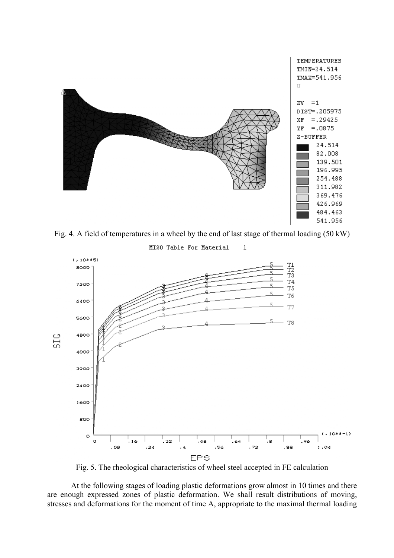

Fig. 4. A field of temperatures in a wheel by the end of last stage of thermal loading (50 kW)

 $\mathbf 1$ 

MISO Table For Material



Fig. 5. The rheological characteristics of wheel steel accepted in FE calculation

At the following stages of loading plastic deformations grow almost in 10 times and there are enough expressed zones of plastic deformation. We shall result distributions of moving, stresses and deformations for the moment of time A, appropriate to the maximal thermal loading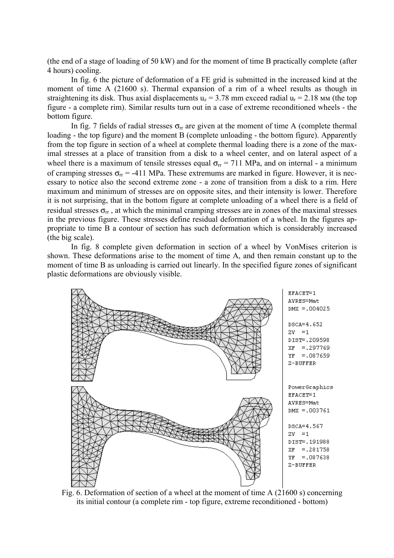(the end of a stage of loading of 50 kW) and for the moment of time B practically complete (after 4 hours) cooling.

In fig. 6 the picture of deformation of a FE grid is submitted in the increased kind at the moment of time A (21600 s). Thermal expansion of a rim of a wheel results as though in straightening its disk. Thus axial displacements  $u_z = 3.78$  mm exceed radial  $u_r = 2.18$  MM (the top figure - a complete rim). Similar results turn out in a case of extreme reconditioned wheels - the bottom figure.

In fig. 7 fields of radial stresses  $\sigma_{rr}$  are given at the moment of time A (complete thermal loading - the top figure) and the moment B (complete unloading - the bottom figure). Apparently from the top figure in section of a wheel at complete thermal loading there is a zone of the maximal stresses at a place of transition from a disk to a wheel center, and on lateral aspect of a wheel there is a maximum of tensile stresses equal  $\sigma_{\text{rr}}$  = 711 MPa, and on internal - a minimum of cramping stresses  $\sigma_{rr}$  = -411 MPa. These extremums are marked in figure. However, it is necessary to notice also the second extreme zone - a zone of transition from a disk to a rim. Here maximum and minimum of stresses are on opposite sites, and their intensity is lower. Therefore it is not surprising, that in the bottom figure at complete unloading of a wheel there is a field of residual stresses  $\sigma_{rr}$ , at which the minimal cramping stresses are in zones of the maximal stresses in the previous figure. These stresses define residual deformation of a wheel. In the figures appropriate to time B a contour of section has such deformation which is considerably increased (the big scale).

In fig. 8 complete given deformation in section of a wheel by VonMises criterion is shown. These deformations arise to the moment of time A, and then remain constant up to the moment of time B as unloading is carried out linearly. In the specified figure zones of significant plastic deformations are obviously visible.



Fig. 6. Deformation of section of a wheel at the moment of time A (21600 s) concerning its initial contour (a complete rim - top figure, extreme reconditioned - bottom)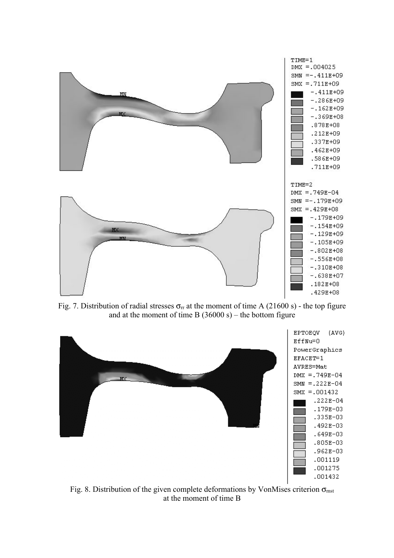

Fig. 7. Distribution of radial stresses  $\sigma_{rr}$  at the moment of time A (21600 s) - the top figure and at the moment of time B  $(36000 s)$  – the bottom figure



Fig. 8. Distribution of the given complete deformations by VonMises criterion  $\sigma_{\text{mst}}$ at the moment of time B